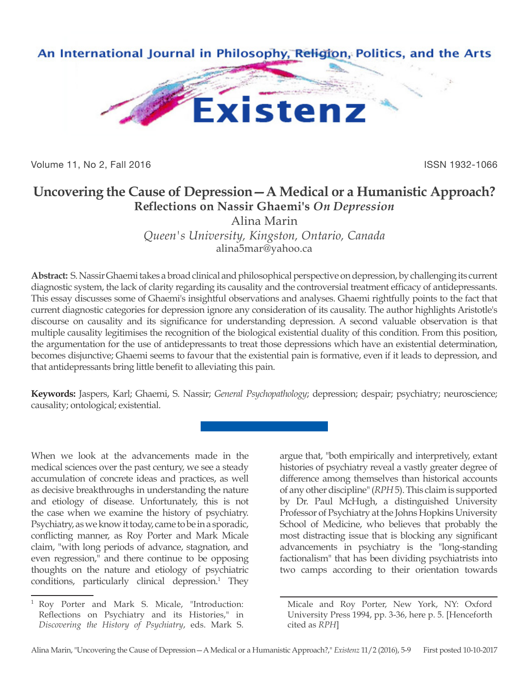

Volume 11, No 2, Fall 2016 **ISSN 1932-1066** ISSN 1932-1066

## **Uncovering the Cause of Depression—A Medical or a Humanistic Approach? Reflections on Nassir Ghaemi's** *On Depression*

Alina Marin

*Queen's University, Kingston, Ontario, Canada* alina5mar@yahoo.ca

**Abstract:** S. Nassir Ghaemi takes a broad clinical and philosophical perspective on depression, by challenging its current diagnostic system, the lack of clarity regarding its causality and the controversial treatment efficacy of antidepressants. This essay discusses some of Ghaemi's insightful observations and analyses. Ghaemi rightfully points to the fact that current diagnostic categories for depression ignore any consideration of its causality. The author highlights Aristotle's discourse on causality and its significance for understanding depression. A second valuable observation is that multiple causality legitimises the recognition of the biological existential duality of this condition. From this position, the argumentation for the use of antidepressants to treat those depressions which have an existential determination, becomes disjunctive; Ghaemi seems to favour that the existential pain is formative, even if it leads to depression, and that antidepressants bring little benefit to alleviating this pain.

**Keywords:** Jaspers, Karl; Ghaemi, S. Nassir; *General Psychopathology*; depression; despair; psychiatry; neuroscience; causality; ontological; existential.

When we look at the advancements made in the medical sciences over the past century, we see a steady accumulation of concrete ideas and practices, as well as decisive breakthroughs in understanding the nature and etiology of disease. Unfortunately, this is not the case when we examine the history of psychiatry. Psychiatry, as we know it today, came to be in a sporadic, conflicting manner, as Roy Porter and Mark Micale claim, "with long periods of advance, stagnation, and even regression," and there continue to be opposing thoughts on the nature and etiology of psychiatric conditions, particularly clinical depression.<sup>1</sup> They

<sup>1</sup> Roy Porter and Mark S. Micale, "Introduction: Reflections on Psychiatry and its Histories," in *Discovering the History of Psychiatry*, eds. Mark S.

argue that, "both empirically and interpretively, extant histories of psychiatry reveal a vastly greater degree of difference among themselves than historical accounts of any other discipline" (*RPH* 5). This claim is supported by Dr. Paul McHugh, a distinguished University Professor of Psychiatry at the Johns Hopkins University School of Medicine, who believes that probably the most distracting issue that is blocking any significant advancements in psychiatry is the "long-standing factionalism" that has been dividing psychiatrists into two camps according to their orientation towards

Micale and Roy Porter, New York, NY: Oxford University Press 1994, pp. 3-36, here p. 5. [Henceforth cited as *RPH*]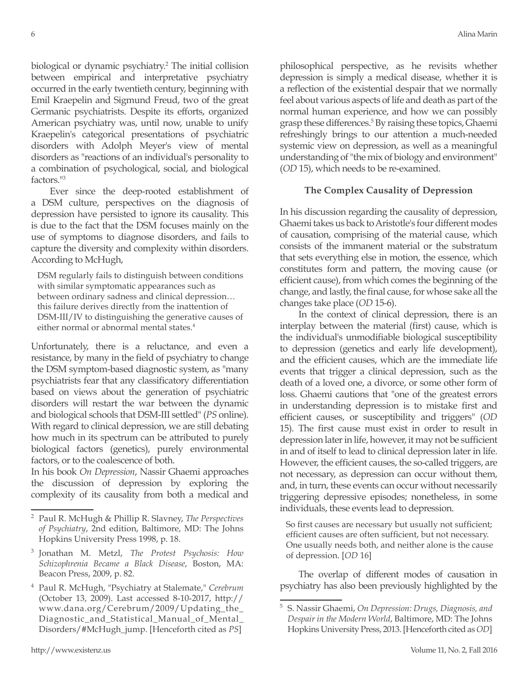biological or dynamic psychiatry.<sup>2</sup> The initial collision between empirical and interpretative psychiatry occurred in the early twentieth century, beginning with Emil Kraepelin and Sigmund Freud, two of the great Germanic psychiatrists. Despite its efforts, organized American psychiatry was, until now, unable to unify Kraepelin's categorical presentations of psychiatric disorders with Adolph Meyer's view of mental disorders as "reactions of an individual's personality to a combination of psychological, social, and biological factors."3

Ever since the deep-rooted establishment of a DSM culture, perspectives on the diagnosis of depression have persisted to ignore its causality. This is due to the fact that the DSM focuses mainly on the use of symptoms to diagnose disorders, and fails to capture the diversity and complexity within disorders. According to McHugh,

DSM regularly fails to distinguish between conditions with similar symptomatic appearances such as between ordinary sadness and clinical depression… this failure derives directly from the inattention of DSM-III/IV to distinguishing the generative causes of either normal or abnormal mental states.<sup>4</sup>

Unfortunately, there is a reluctance, and even a resistance, by many in the field of psychiatry to change the DSM symptom-based diagnostic system, as "many psychiatrists fear that any classificatory differentiation based on views about the generation of psychiatric disorders will restart the war between the dynamic and biological schools that DSM-III settled" (*PS* online). With regard to clinical depression, we are still debating how much in its spectrum can be attributed to purely biological factors (genetics), purely environmental factors, or to the coalescence of both.

In his book *On Depression*, Nassir Ghaemi approaches the discussion of depression by exploring the complexity of its causality from both a medical and philosophical perspective, as he revisits whether depression is simply a medical disease, whether it is a reflection of the existential despair that we normally feel about various aspects of life and death as part of the normal human experience, and how we can possibly grasp these differences.<sup>5</sup> By raising these topics, Ghaemi refreshingly brings to our attention a much-needed systemic view on depression, as well as a meaningful understanding of "the mix of biology and environment" (*OD* 15), which needs to be re-examined.

## **The Complex Causality of Depression**

In his discussion regarding the causality of depression, Ghaemi takes us back to Aristotle's four different modes of causation, comprising of the material cause, which consists of the immanent material or the substratum that sets everything else in motion, the essence, which constitutes form and pattern, the moving cause (or efficient cause), from which comes the beginning of the change, and lastly, the final cause, for whose sake all the changes take place (*OD* 15-6).

In the context of clinical depression, there is an interplay between the material (first) cause, which is the individual's unmodifiable biological susceptibility to depression (genetics and early life development), and the efficient causes, which are the immediate life events that trigger a clinical depression, such as the death of a loved one, a divorce, or some other form of loss. Ghaemi cautions that "one of the greatest errors in understanding depression is to mistake first and efficient causes, or susceptibility and triggers" (*OD*  15). The first cause must exist in order to result in depression later in life, however, it may not be sufficient in and of itself to lead to clinical depression later in life. However, the efficient causes, the so-called triggers, are not necessary, as depression can occur without them, and, in turn, these events can occur without necessarily triggering depressive episodes; nonetheless, in some individuals, these events lead to depression.

So first causes are necessary but usually not sufficient; efficient causes are often sufficient, but not necessary. One usually needs both, and neither alone is the cause of depression. [*OD* 16]

The overlap of different modes of causation in psychiatry has also been previously highlighted by the

<sup>2</sup> Paul R. McHugh & Phillip R. Slavney, *The Perspectives of Psychiatry*, 2nd edition, Baltimore, MD: The Johns Hopkins University Press 1998, p. 18.

<sup>3</sup> Jonathan M. Metzl, *The Protest Psychosis: How Schizophrenia Became a Black Disease*, Boston, MA: Beacon Press, 2009, p. 82.

<sup>4</sup> Paul R. McHugh, "Psychiatry at Stalemate," *Cerebrum* (October 13, 2009). Last accessed 8-10-2017, http:// www.dana.org/Cerebrum/2009/Updating\_the\_ Diagnostic\_and\_Statistical\_Manual\_of\_Mental\_ Disorders/#McHugh\_jump. [Henceforth cited as *PS*]

<sup>5</sup> S. Nassir Ghaemi, *On Depression: Drugs, Diagnosis, and Despair in the Modern World*, Baltimore, MD: The Johns Hopkins University Press, 2013. [Henceforth cited as *OD*]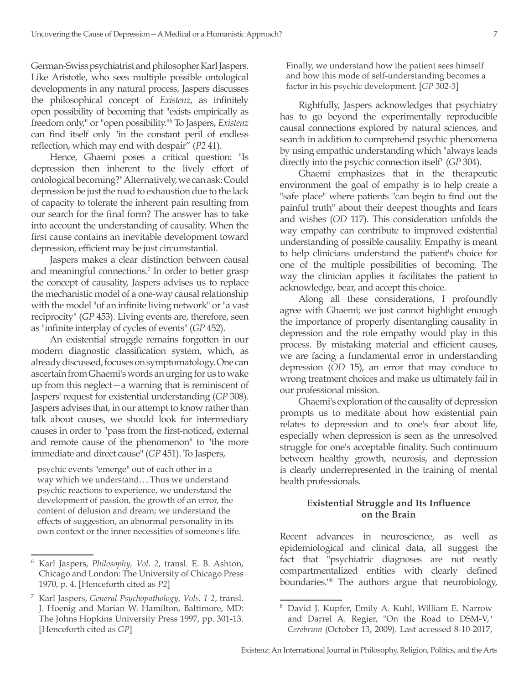German-Swiss psychiatrist and philosopher Karl Jaspers. Like Aristotle, who sees multiple possible ontological developments in any natural process, Jaspers discusses the philosophical concept of *Existenz*, as infinitely open possibility of becoming that "exists empirically as freedom only," or "open possibility."6 To Jaspers, *Existenz* can find itself only "in the constant peril of endless reflection, which may end with despair" (*P2* 41).

Hence, Ghaemi poses a critical question: "Is depression then inherent to the lively effort of ontological becoming?" Alternatively, we can ask: Could depression be just the road to exhaustion due to the lack of capacity to tolerate the inherent pain resulting from our search for the final form? The answer has to take into account the understanding of causality. When the first cause contains an inevitable development toward depression, efficient may be just circumstantial.

Jaspers makes a clear distinction between causal and meaningful connections.7 In order to better grasp the concept of causality, Jaspers advises us to replace the mechanistic model of a one-way causal relationship with the model "of an infinite living network" or "a vast reciprocity" (*GP* 453). Living events are, therefore, seen as "infinite interplay of cycles of events" (*GP* 452).

An existential struggle remains forgotten in our modern diagnostic classification system, which, as already discussed, focuses on symptomatology. One can ascertain from Ghaemi's words an urging for us to wake up from this neglect—a warning that is reminiscent of Jaspers' request for existential understanding (*GP* 308). Jaspers advises that, in our attempt to know rather than talk about causes, we should look for intermediary causes in order to "pass from the first-noticed, external and remote cause of the phenomenon" to "the more immediate and direct cause" (*GP* 451). To Jaspers,

psychic events "emerge" out of each other in a way which we understand….Thus we understand psychic reactions to experience, we understand the development of passion, the growth of an error, the content of delusion and dream; we understand the effects of suggestion, an abnormal personality in its own context or the inner necessities of someone's life.

<sup>6</sup> Karl Jaspers, *Philosophy, Vol. 2*, transl. E. B. Ashton, Chicago and London: The University of Chicago Press 1970, p. 4. [Henceforth cited as *P2*]

Finally, we understand how the patient sees himself and how this mode of self-understanding becomes a factor in his psychic development. [*GP* 302-3]

Rightfully, Jaspers acknowledges that psychiatry has to go beyond the experimentally reproducible causal connections explored by natural sciences, and search in addition to comprehend psychic phenomena by using empathic understanding which "always leads directly into the psychic connection itself" (*GP* 304).

Ghaemi emphasizes that in the therapeutic environment the goal of empathy is to help create a "safe place" where patients "can begin to find out the painful truth" about their deepest thoughts and fears and wishes (*OD* 117). This consideration unfolds the way empathy can contribute to improved existential understanding of possible causality. Empathy is meant to help clinicians understand the patient's choice for one of the multiple possibilities of becoming. The way the clinician applies it facilitates the patient to acknowledge, bear, and accept this choice.

Along all these considerations, I profoundly agree with Ghaemi; we just cannot highlight enough the importance of properly disentangling causality in depression and the role empathy would play in this process. By mistaking material and efficient causes, we are facing a fundamental error in understanding depression (*OD* 15), an error that may conduce to wrong treatment choices and make us ultimately fail in our professional mission.

Ghaemi's exploration of the causality of depression prompts us to meditate about how existential pain relates to depression and to one's fear about life, especially when depression is seen as the unresolved struggle for one's acceptable finality. Such continuum between healthy growth, neurosis, and depression is clearly underrepresented in the training of mental health professionals.

## **Existential Struggle and Its Influence on the Brain**

Recent advances in neuroscience, as well as epidemiological and clinical data, all suggest the fact that "psychiatric diagnoses are not neatly compartmentalized entities with clearly defined boundaries."8 The authors argue that neurobiology,

<sup>7</sup> Karl Jaspers, *General Psychopathology, Vols. 1-2*, transl. J. Hoenig and Marian W. Hamilton, Baltimore, MD: The Johns Hopkins University Press 1997, pp. 301-13. [Henceforth cited as *GP*]

<sup>8</sup> David J. Kupfer, Emily A. Kuhl, William E. Narrow and Darrel A. Regier, "On the Road to DSM-V," *Cerebrum* (October 13, 2009). Last accessed 8-10-2017,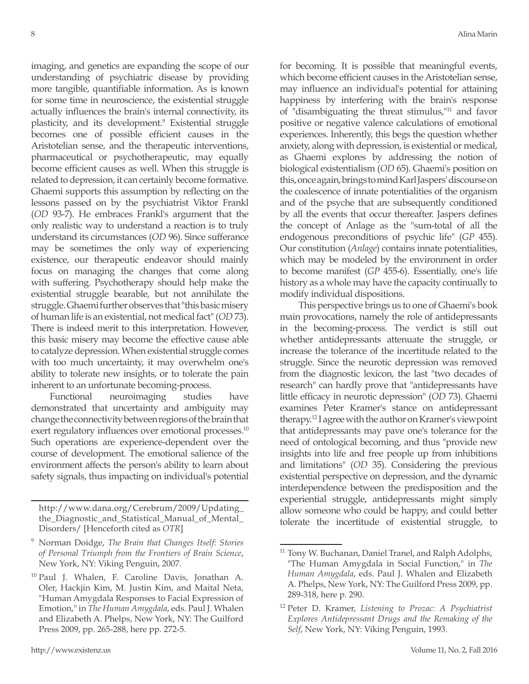imaging, and genetics are expanding the scope of our understanding of psychiatric disease by providing more tangible, quantifiable information. As is known for some time in neuroscience, the existential struggle actually influences the brain's internal connectivity, its plasticity, and its development.9 Existential struggle becomes one of possible efficient causes in the Aristotelian sense, and the therapeutic interventions, pharmaceutical or psychotherapeutic, may equally become efficient causes as well. When this struggle is related to depression, it can certainly become formative. Ghaemi supports this assumption by reflecting on the lessons passed on by the psychiatrist Viktor Frankl (*OD* 93-7). He embraces Frankl's argument that the only realistic way to understand a reaction is to truly understand its circumstances (*OD* 96). Since sufferance may be sometimes the only way of experiencing existence, our therapeutic endeavor should mainly focus on managing the changes that come along with suffering. Psychotherapy should help make the existential struggle bearable, but not annihilate the struggle. Ghaemi further observes that "this basic misery of human life is an existential, not medical fact" (*OD* 73). There is indeed merit to this interpretation. However, this basic misery may become the effective cause able to catalyze depression. When existential struggle comes with too much uncertainty, it may overwhelm one's ability to tolerate new insights, or to tolerate the pain inherent to an unfortunate becoming-process.

Functional neuroimaging studies have demonstrated that uncertainty and ambiguity may change the connectivity between regions of the brain that exert regulatory influences over emotional processes.<sup>10</sup> Such operations are experience-dependent over the course of development. The emotional salience of the environment affects the person's ability to learn about safety signals, thus impacting on individual's potential for becoming. It is possible that meaningful events, which become efficient causes in the Aristotelian sense, may influence an individual's potential for attaining happiness by interfering with the brain's response of "disambiguating the threat stimulus,"11 and favor positive or negative valence calculations of emotional experiences. Inherently, this begs the question whether anxiety, along with depression, is existential or medical, as Ghaemi explores by addressing the notion of biological existentialism (*OD* 65). Ghaemi's position on this, once again, brings to mind Karl Jaspers' discourse on the coalescence of innate potentialities of the organism and of the psyche that are subsequently conditioned by all the events that occur thereafter. Jaspers defines the concept of Anlage as the "sum-total of all the endogenous preconditions of psychic life" (*GP* 455). Our constitution (*Anlage*) contains innate potentialities, which may be modeled by the environment in order to become manifest (*GP* 455-6). Essentially, one's life history as a whole may have the capacity continually to modify individual dispositions.

This perspective brings us to one of Ghaemi's book main provocations, namely the role of antidepressants in the becoming-process. The verdict is still out whether antidepressants attenuate the struggle, or increase the tolerance of the incertitude related to the struggle. Since the neurotic depression was removed from the diagnostic lexicon, the last "two decades of research" can hardly prove that "antidepressants have little efficacy in neurotic depression" (*OD* 73). Ghaemi examines Peter Kramer's stance on antidepressant therapy.12 I agree with the author on Kramer's viewpoint that antidepressants may pave one's tolerance for the need of ontological becoming, and thus "provide new insights into life and free people up from inhibitions and limitations" (*OD* 35). Considering the previous existential perspective on depression, and the dynamic interdependence between the predisposition and the experiential struggle, antidepressants might simply allow someone who could be happy, and could better tolerate the incertitude of existential struggle, to

http://www.dana.org/Cerebrum/2009/Updating\_ the\_Diagnostic\_and\_Statistical\_Manual\_of\_Mental\_ Disorders/ [Henceforth cited as *OTR*]

<sup>9</sup> Norman Doidge, *The Brain that Changes Itself: Stories of Personal Triumph from the Frontiers of Brain Science*, New York, NY: Viking Penguin, 2007.

<sup>&</sup>lt;sup>10</sup> Paul J. Whalen, F. Caroline Davis, Jonathan A. Oler, Hackjin Kim, M. Justin Kim, and Maital Neta, "Human Amygdala Responses to Facial Expression of Emotion," in *The Human Amygdala*, eds. Paul J. Whalen and Elizabeth A. Phelps, New York, NY: The Guilford Press 2009, pp. 265-288, here pp. 272-5.

 $11$  Tony W. Buchanan, Daniel Tranel, and Ralph Adolphs, "The Human Amygdala in Social Function," in *The Human Amygdala*, eds. Paul J. Whalen and Elizabeth A. Phelps, New York, NY: The Guilford Press 2009, pp. 289-318, here p. 290.

<sup>12</sup> Peter D. Kramer, *Listening to Prozac: A Psychiatrist Explores Antidepressant Drugs and the Remaking of the Self*, New York, NY: Viking Penguin, 1993.